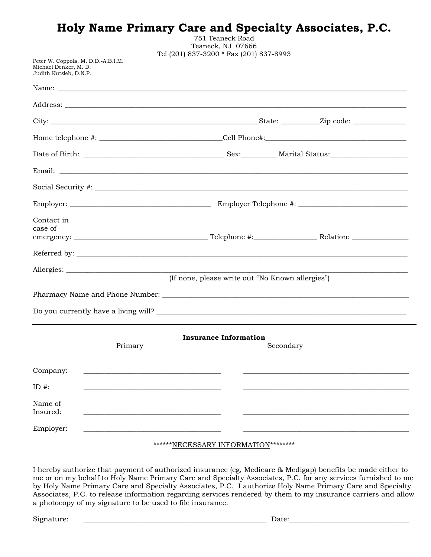|                                                                                       |         |                                                  |           | Holy Name Primary Care and Specialty Associates, P.C. |
|---------------------------------------------------------------------------------------|---------|--------------------------------------------------|-----------|-------------------------------------------------------|
|                                                                                       |         | 751 Teaneck Road<br>Teaneck, NJ 07666            |           |                                                       |
| Peter W. Coppola, M. D.D.-A.B.I.M.<br>Michael Denker, M. D.<br>Judith Kutzleb, D.N.P. |         | Tel (201) 837-3200 * Fax (201) 837-8993          |           |                                                       |
|                                                                                       |         |                                                  |           |                                                       |
|                                                                                       |         |                                                  |           |                                                       |
|                                                                                       |         |                                                  |           |                                                       |
|                                                                                       |         |                                                  |           |                                                       |
|                                                                                       |         |                                                  |           |                                                       |
|                                                                                       |         |                                                  |           |                                                       |
|                                                                                       |         |                                                  |           |                                                       |
|                                                                                       |         |                                                  |           |                                                       |
| Contact in<br>case of                                                                 |         |                                                  |           |                                                       |
|                                                                                       |         |                                                  |           |                                                       |
|                                                                                       |         |                                                  |           |                                                       |
|                                                                                       |         | (If none, please write out "No Known allergies") |           |                                                       |
|                                                                                       |         |                                                  |           |                                                       |
|                                                                                       |         |                                                  |           |                                                       |
|                                                                                       |         |                                                  |           |                                                       |
|                                                                                       | Primary | <b>Insurance Information</b>                     | Secondary |                                                       |
| Company:                                                                              |         |                                                  |           |                                                       |
| ID $#$ :                                                                              |         |                                                  |           |                                                       |
| Name of<br>Insured:                                                                   |         |                                                  |           |                                                       |
| Employer:                                                                             |         |                                                  |           |                                                       |

### \*\*\*\*\*\*NECESSARY INFORMATION\*\*\*\*\*\*\*\*

I hereby authorize that payment of authorized insurance (eg, Medicare & Medigap) benefits be made either to me or on my behalf to Holy Name Primary Care and Specialty Associates, P.C. for any services furnished to me by Holy Name Primary Care and Specialty Associates, P.C. I authorize Holy Name Primary Care and Specialty Associates, P.C. to release information regarding services rendered by them to my insurance carriers and allow a photocopy of my signature to be used to file insurance.

Signature: \_\_\_\_\_\_\_\_\_\_\_\_\_\_\_\_\_\_\_\_\_\_\_\_\_\_\_\_\_\_\_\_\_\_\_\_\_\_\_\_\_\_\_\_\_\_\_\_\_\_\_\_ Date:\_\_\_\_\_\_\_\_\_\_\_\_\_\_\_\_\_\_\_\_\_\_\_\_\_\_\_\_\_\_\_\_\_\_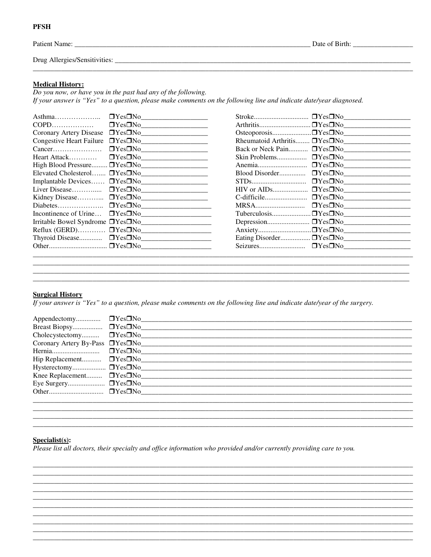| Patient Name:                 | Date of Birth: |
|-------------------------------|----------------|
| Drug Allergies/Sensitivities: |                |

#### **Medical History:**

**PFSH** 

Do you now, or have you in the past had any of the following. If your answer is "Yes" to a question, please make comments on the following line and indicate date/year diagnosed.

| $A$ sthma                       |                      |
|---------------------------------|----------------------|
| COPD                            |                      |
| Coronary Artery Disease         |                      |
| <b>Congestive Heart Failure</b> |                      |
|                                 | $\Box Yes\square No$ |
| Heart Attack                    |                      |
| High Blood Pressure             | YesDNo               |
| Elevated Cholesterol            | $\Box Yes\square No$ |
| Implantable Devices             |                      |
| Liver Disease                   |                      |
| Kidney Disease                  | $\Box Yes\square No$ |
| Diabetes                        |                      |
| Incontinence of Urine           |                      |
| Irritable Bowel Syndrome        |                      |
| Reflux (GERD)                   |                      |
|                                 |                      |
|                                 |                      |

|                | Back or Neck Pain DYesDNo |
|----------------|---------------------------|
|                |                           |
|                | $\square Yes\square No$   |
| Blood Disorder | $\Box Yes\square No$      |
|                | $\Box Yes\square No$      |
| HIV or AIDs    | $\Box Yes\square No$      |
|                |                           |
| MRSA           | $\Box Yes \Box No$        |
|                |                           |
|                |                           |
|                |                           |
|                |                           |
|                |                           |
|                |                           |

# **Surgical History**

If your answer is "Yes" to a question, please make comments on the following line and indicate date/year of the surgery.

| Cholecystectomy □ Yes□No |                                                  |
|--------------------------|--------------------------------------------------|
|                          | Coronary Artery By-Pass DYesONo                  |
|                          | <u> 1980 - Jan Barnett, amerikansk politik (</u> |
|                          |                                                  |
|                          |                                                  |
|                          | Knee Replacement <b>DYesDNo</b>                  |
|                          |                                                  |
|                          |                                                  |
|                          |                                                  |

## $Specialist(s):$

Please list all doctors, their specialty and office information who provided and/or currently providing care to you.